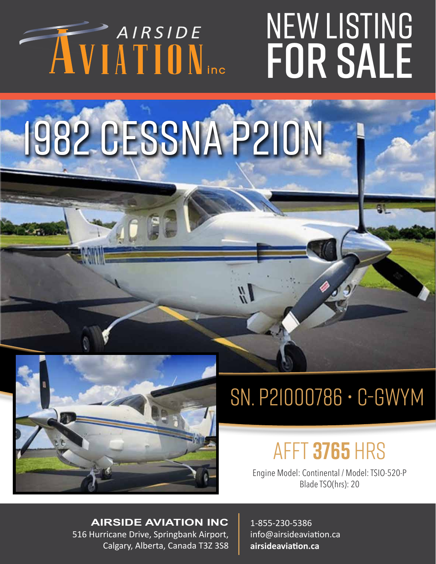# AIRSIDE

### INU<br>LE NEW LISTING for sale

### 1982 CESSNA P210N



#### sn. P21000786 • C-GWYM

#### afft **3765** hrs

Engine Model: Continental / Model: TSIO-520-P Blade TSO(hrs): 20

**AIRSIDE AVIATION INC** 516 Hurricane Drive, Springbank Airport, Calgary, Alberta, Canada T3Z 3S8 1-855-230-5386 info@airsideaviation.ca **airsideaviation.ca**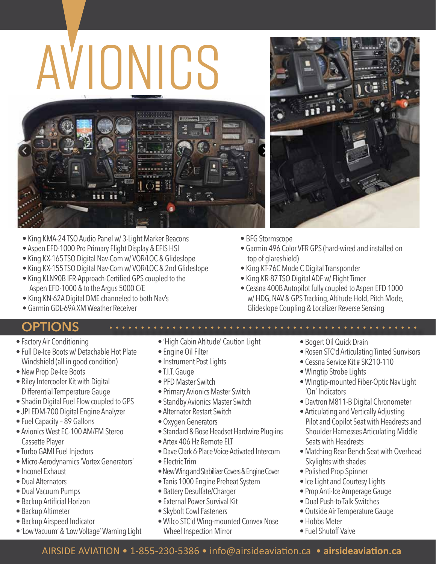# AVIONICS



- King KMA-24 TSO Audio Panel w/ 3-Light Marker Beacons
- Aspen EFD-1000 Pro Primary Flight Display & EFIS HSI
- King KX-165 TSO Digital Nav-Com w/ VOR/LOC & Glideslope
- King KX-155 TSO Digital Nav-Com w/ VOR/LOC & 2nd Glideslope
- King KLN90B IFR-Approach-Certified GPS coupled to the Aspen EFD-1000 & to the Argus 5000 C/E
- King KN-62A Digital DME channeled to both Nav's
- Garmin GDL-69A XM Weather Receiver

#### **OPTIONS**

- Factory Air Conditioning
- Full De-Ice Boots w/ Detachable Hot Plate Windshield (all in good condition)
- New Prop De-Ice Boots
- Riley Intercooler Kit with Digital Differential Temperature Gauge
- Shadin Digital Fuel Flow coupled to GPS
- JPI EDM-700 Digital Engine Analyzer
- Fuel Capacity 89 Gallons
- Avionics West EC-100 AM/FM Stereo Cassette Player
- Turbo GAMI Fuel Injectors
- Micro-Aerodynamics 'Vortex Generators'
- Inconel Exhaust
- Dual Alternators
- Dual Vacuum Pumps
- Backup Artificial Horizon
- Backup Altimeter
- Backup Airspeed Indicator
- 'Low Vacuum' & 'Low Voltage' Warning Light
- 'High Cabin Altitude' Caution Light
- Engine Oil Filter
- Instrument Post Lights
- T.I.T. Gauge
- PFD Master Switch
- Primary Avionics Master Switch
- Standby Avionics Master Switch
- Alternator Restart Switch
- Oxygen Generators
- Standard & Bose Headset Hardwire Plug-ins
- Artex 406 Hz Remote ELT
- Dave Clark 6-Place Voice-Activated Intercom
- Electric Trim
- New Wing and Stabilizer Covers & Engine Cover
- Tanis 1000 Engine Preheat System
- Battery Desulfate/Charger
- External Power Survival Kit
- Skybolt Cowl Fasteners
- Wilco STC'd Wing-mounted Convex Nose Wheel Inspection Mirror
- 
- BFG Stormscope
- Garmin 496 Color VFR GPS (hard-wired and installed on top of glareshield)
- King KT-76C Mode C Digital Transponder
- King KR-87 TSO Digital ADF w/ Flight Timer
- Cessna 400B Autopilot fully coupled to Aspen EFD 1000 w/ HDG, NAV & GPS Tracking, Altitude Hold, Pitch Mode, Glideslope Coupling & Localizer Reverse Sensing
	- Bogert Oil Quick Drain

- Rosen STC'd Articulating Tinted Sunvisors
- Cessna Service Kit # SK210-110
- Wingtip Strobe Lights
- Wingtip-mounted Fiber-Optic Nav Light 'On' Indicators
- Davtron M811-B Digital Chronometer
- Articulating and Vertically Adjusting Pilot and Copilot Seat with Headrests and Shoulder Harnesses Articulating Middle Seats with Headrests
- Matching Rear Bench Seat with Overhead Skylights with shades
- Polished Prop Spinner
- Ice Light and Courtesy Lights
- Prop Anti-Ice Amperage Gauge
- Dual Push-to-Talk Switches
- Outside Air Temperature Gauge
- Hobbs Meter
- Fuel Shutoff Valve